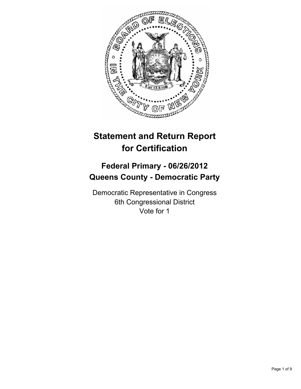

# **Statement and Return Report for Certification**

## **Federal Primary - 06/26/2012 Queens County - Democratic Party**

Democratic Representative in Congress 6th Congressional District Vote for 1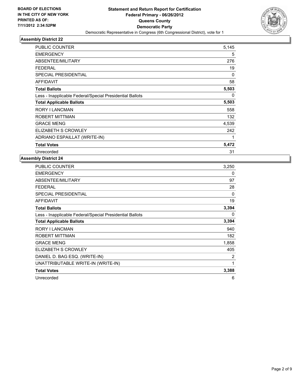

| <b>PUBLIC COUNTER</b>                                    | 5,145 |
|----------------------------------------------------------|-------|
| <b>EMERGENCY</b>                                         | 5     |
| ABSENTEE/MILITARY                                        | 276   |
| <b>FEDERAL</b>                                           | 19    |
| <b>SPECIAL PRESIDENTIAL</b>                              | 0     |
| <b>AFFIDAVIT</b>                                         | 58    |
| <b>Total Ballots</b>                                     | 5,503 |
| Less - Inapplicable Federal/Special Presidential Ballots | 0     |
|                                                          |       |
| <b>Total Applicable Ballots</b>                          | 5,503 |
| <b>RORY I LANCMAN</b>                                    | 558   |
| <b>ROBERT MITTMAN</b>                                    | 132   |
| <b>GRACE MENG</b>                                        | 4,539 |
| ELIZABETH S CROWLEY                                      | 242   |
| ADRIANO ESPAILLAT (WRITE-IN)                             | 1     |
| <b>Total Votes</b>                                       | 5,472 |

| <b>PUBLIC COUNTER</b>                                    | 3,250 |
|----------------------------------------------------------|-------|
| <b>EMERGENCY</b>                                         | 0     |
| ABSENTEE/MILITARY                                        | 97    |
| <b>FEDERAL</b>                                           | 28    |
| <b>SPECIAL PRESIDENTIAL</b>                              | 0     |
| <b>AFFIDAVIT</b>                                         | 19    |
| <b>Total Ballots</b>                                     | 3,394 |
| Less - Inapplicable Federal/Special Presidential Ballots | 0     |
| <b>Total Applicable Ballots</b>                          | 3,394 |
| <b>RORY I LANCMAN</b>                                    | 940   |
| ROBERT MITTMAN                                           | 182   |
| <b>GRACE MENG</b>                                        | 1,858 |
| ELIZABETH S CROWLEY                                      | 405   |
| DANIEL D. BAG ESQ. (WRITE-IN)                            | 2     |
| UNATTRIBUTABLE WRITE-IN (WRITE-IN)                       | 1     |
| <b>Total Votes</b>                                       | 3,388 |
| Unrecorded                                               | 6     |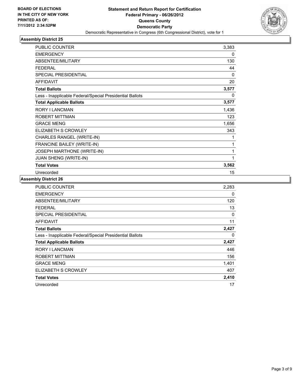

| PUBLIC COUNTER                                           | 3,383 |
|----------------------------------------------------------|-------|
| <b>EMERGENCY</b>                                         | 0     |
| ABSENTEE/MILITARY                                        | 130   |
| <b>FEDERAL</b>                                           | 44    |
| <b>SPECIAL PRESIDENTIAL</b>                              | 0     |
| <b>AFFIDAVIT</b>                                         | 20    |
| <b>Total Ballots</b>                                     | 3,577 |
| Less - Inapplicable Federal/Special Presidential Ballots | 0     |
| <b>Total Applicable Ballots</b>                          | 3,577 |
| RORY I LANCMAN                                           | 1,436 |
| ROBERT MITTMAN                                           | 123   |
| <b>GRACE MENG</b>                                        | 1,656 |
| ELIZABETH S CROWLEY                                      | 343   |
| CHARLES RANGEL (WRITE-IN)                                | 1     |
| FRANCINE BAILEY (WRITE-IN)                               | 1     |
| JOSEPH MARTHONE (WRITE-IN)                               | 1     |
| JUAN SHENG (WRITE-IN)                                    | 1     |
| <b>Total Votes</b>                                       | 3,562 |
| Unrecorded                                               | 15    |

| <b>PUBLIC COUNTER</b>                                    | 2,283 |
|----------------------------------------------------------|-------|
| <b>EMERGENCY</b>                                         | 0     |
| ABSENTEE/MILITARY                                        | 120   |
| <b>FEDERAL</b>                                           | 13    |
| <b>SPECIAL PRESIDENTIAL</b>                              | 0     |
| <b>AFFIDAVIT</b>                                         | 11    |
| <b>Total Ballots</b>                                     | 2,427 |
| Less - Inapplicable Federal/Special Presidential Ballots | 0     |
| <b>Total Applicable Ballots</b>                          | 2,427 |
| RORY I LANCMAN                                           | 446   |
| ROBERT MITTMAN                                           | 156   |
| <b>GRACE MENG</b>                                        | 1,401 |
| ELIZABETH S CROWLEY                                      | 407   |
| <b>Total Votes</b>                                       | 2,410 |
| Unrecorded                                               | 17    |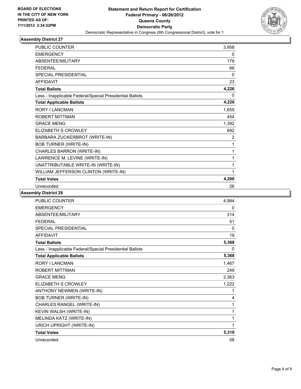

| <b>PUBLIC COUNTER</b>                                    | 3,958 |
|----------------------------------------------------------|-------|
| <b>EMERGENCY</b>                                         | 0     |
| ABSENTEE/MILITARY                                        | 179   |
| <b>FEDERAL</b>                                           | 66    |
| <b>SPECIAL PRESIDENTIAL</b>                              | 0     |
| <b>AFFIDAVIT</b>                                         | 23    |
| <b>Total Ballots</b>                                     | 4,226 |
| Less - Inapplicable Federal/Special Presidential Ballots | 0     |
| <b>Total Applicable Ballots</b>                          | 4,226 |
| <b>RORY I LANCMAN</b>                                    | 1,655 |
| <b>ROBERT MITTMAN</b>                                    | 454   |
| <b>GRACE MENG</b>                                        | 1,392 |
| <b>ELIZABETH S CROWLEY</b>                               | 692   |
| BARBARA ZUCKERBROT (WRITE-IN)                            | 2     |
| <b>BOB TURNER (WRITE-IN)</b>                             | 1     |
| CHARLES BARRON (WRITE-IN)                                | 1     |
| LAWRENCE M. LEVINE (WRITE-IN)                            | 1     |
| UNATTRIBUTABLE WRITE-IN (WRITE-IN)                       | 1     |
| WILLIAM JEFFERSON CLINTON (WRITE-IN)                     | 1     |
| <b>Total Votes</b>                                       | 4,200 |
| Unrecorded                                               | 26    |

| <b>PUBLIC COUNTER</b>                                    | 4,984 |
|----------------------------------------------------------|-------|
| <b>EMERGENCY</b>                                         | 0     |
| ABSENTEE/MILITARY                                        | 314   |
| <b>FFDFRAL</b>                                           | 51    |
| <b>SPECIAL PRESIDENTIAL</b>                              | 0     |
| <b>AFFIDAVIT</b>                                         | 19    |
| <b>Total Ballots</b>                                     | 5,368 |
| Less - Inapplicable Federal/Special Presidential Ballots | 0     |
| <b>Total Applicable Ballots</b>                          | 5,368 |
| <b>RORY I LANCMAN</b>                                    | 1,467 |
| <b>ROBERT MITTMAN</b>                                    | 249   |
| <b>GRACE MENG</b>                                        | 2,363 |
| <b>ELIZABETH S CROWLEY</b>                               | 1,222 |
| <b>ANTHONY NEWMEN (WRITE-IN)</b>                         | 1     |
| <b>BOB TURNER (WRITE-IN)</b>                             | 4     |
| CHARLES RANGEL (WRITE-IN)                                | 1     |
| KEVIN WALSH (WRITE-IN)                                   | 1     |
| MELINDA KATZ (WRITE-IN)                                  | 1     |
| URICH UPRIGHT (WRITE-IN)                                 | 1     |
| <b>Total Votes</b>                                       | 5,310 |
| Unrecorded                                               | 58    |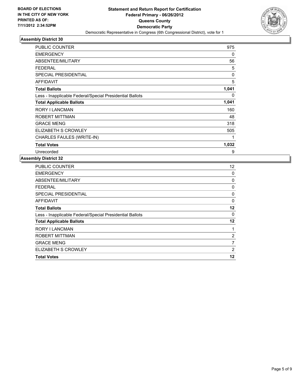

| <b>PUBLIC COUNTER</b>                                    | 975   |
|----------------------------------------------------------|-------|
| <b>EMERGENCY</b>                                         | 0     |
| ABSENTEE/MILITARY                                        | 56    |
| <b>FEDERAL</b>                                           | 5     |
| <b>SPECIAL PRESIDENTIAL</b>                              | 0     |
| <b>AFFIDAVIT</b>                                         | 5     |
| <b>Total Ballots</b>                                     | 1,041 |
| Less - Inapplicable Federal/Special Presidential Ballots | 0     |
| <b>Total Applicable Ballots</b>                          | 1,041 |
| <b>RORY I LANCMAN</b>                                    | 160   |
| <b>ROBERT MITTMAN</b>                                    | 48    |
| <b>GRACE MENG</b>                                        | 318   |
| ELIZABETH S CROWLEY                                      | 505   |
| CHARLES FAULES (WRITE-IN)                                | 1     |
|                                                          |       |
| <b>Total Votes</b>                                       | 1,032 |

| <b>PUBLIC COUNTER</b>                                    | 12      |
|----------------------------------------------------------|---------|
| <b>EMERGENCY</b>                                         | 0       |
| ABSENTEE/MILITARY                                        | 0       |
| <b>FEDERAL</b>                                           | 0       |
| SPECIAL PRESIDENTIAL                                     | 0       |
| AFFIDAVIT                                                | 0       |
| <b>Total Ballots</b>                                     | $12 \,$ |
| Less - Inapplicable Federal/Special Presidential Ballots | 0       |
| <b>Total Applicable Ballots</b>                          | 12      |
| <b>RORY I LANCMAN</b>                                    | 1       |
| <b>ROBERT MITTMAN</b>                                    | 2       |
| <b>GRACE MENG</b>                                        | 7       |
| ELIZABETH S CROWLEY                                      | 2       |
| <b>Total Votes</b>                                       | 12      |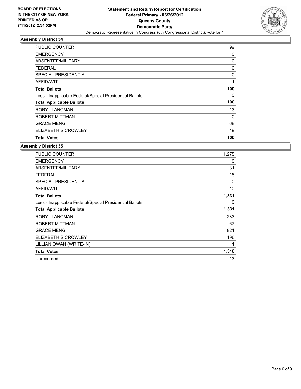

| PUBLIC COUNTER                                           | 99  |
|----------------------------------------------------------|-----|
| <b>EMERGENCY</b>                                         | 0   |
| ABSENTEE/MILITARY                                        | 0   |
| FEDERAL                                                  | 0   |
| <b>SPECIAL PRESIDENTIAL</b>                              | 0   |
| <b>AFFIDAVIT</b>                                         | 1   |
| <b>Total Ballots</b>                                     | 100 |
| Less - Inapplicable Federal/Special Presidential Ballots | 0   |
| <b>Total Applicable Ballots</b>                          | 100 |
| RORY I LANCMAN                                           | 13  |
| ROBERT MITTMAN                                           | 0   |
| <b>GRACE MENG</b>                                        | 68  |
| ELIZABETH S CROWLEY                                      | 19  |
| <b>Total Votes</b>                                       | 100 |

| <b>PUBLIC COUNTER</b>                                    | 1,275 |
|----------------------------------------------------------|-------|
| <b>EMERGENCY</b>                                         | 0     |
| ABSENTEE/MILITARY                                        | 31    |
| <b>FEDERAL</b>                                           | 15    |
| <b>SPECIAL PRESIDENTIAL</b>                              | 0     |
| <b>AFFIDAVIT</b>                                         | 10    |
| <b>Total Ballots</b>                                     | 1,331 |
| Less - Inapplicable Federal/Special Presidential Ballots | 0     |
| <b>Total Applicable Ballots</b>                          | 1,331 |
|                                                          |       |
| RORY I LANCMAN                                           | 233   |
| ROBERT MITTMAN                                           | 67    |
| <b>GRACE MENG</b>                                        | 821   |
| ELIZABETH S CROWLEY                                      | 196   |
| LILLIAN OWAN (WRITE-IN)                                  | 1     |
| <b>Total Votes</b>                                       | 1,318 |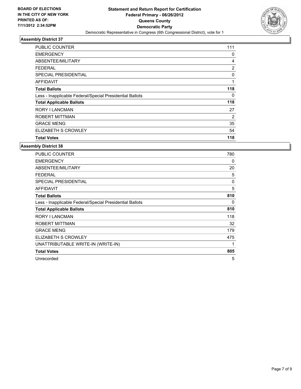

| <b>PUBLIC COUNTER</b>                                    | 111            |
|----------------------------------------------------------|----------------|
| <b>EMERGENCY</b>                                         | 0              |
| ABSENTEE/MILITARY                                        | 4              |
| FEDERAL                                                  | 2              |
| <b>SPECIAL PRESIDENTIAL</b>                              | 0              |
| AFFIDAVIT                                                | 1              |
| <b>Total Ballots</b>                                     | 118            |
| Less - Inapplicable Federal/Special Presidential Ballots | 0              |
| <b>Total Applicable Ballots</b>                          | 118            |
| <b>RORY I LANCMAN</b>                                    | 27             |
| <b>ROBERT MITTMAN</b>                                    | $\overline{2}$ |
| <b>GRACE MENG</b>                                        | 35             |
| ELIZABETH S CROWLEY                                      | 54             |
| <b>Total Votes</b>                                       | 118            |

| <b>PUBLIC COUNTER</b>                                    | 780 |
|----------------------------------------------------------|-----|
| <b>EMERGENCY</b>                                         | 0   |
| ABSENTEE/MILITARY                                        | 20  |
| <b>FEDERAL</b>                                           | 5   |
| <b>SPECIAL PRESIDENTIAL</b>                              | 0   |
| <b>AFFIDAVIT</b>                                         | 5   |
| <b>Total Ballots</b>                                     | 810 |
| Less - Inapplicable Federal/Special Presidential Ballots | 0   |
| <b>Total Applicable Ballots</b>                          | 810 |
| <b>RORY I LANCMAN</b>                                    | 118 |
| <b>ROBERT MITTMAN</b>                                    | 32  |
| <b>GRACE MENG</b>                                        | 179 |
| ELIZABETH S CROWLEY                                      | 475 |
| UNATTRIBUTABLE WRITE-IN (WRITE-IN)                       | 1   |
| <b>Total Votes</b>                                       | 805 |
| Unrecorded                                               | 5   |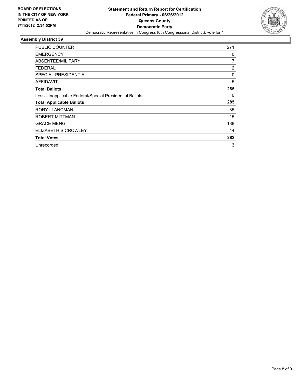

| PUBLIC COUNTER                                           | 271            |
|----------------------------------------------------------|----------------|
| <b>EMERGENCY</b>                                         | 0              |
| ABSENTEE/MILITARY                                        | 7              |
| FEDERAL                                                  | $\overline{c}$ |
| <b>SPECIAL PRESIDENTIAL</b>                              | 0              |
| AFFIDAVIT                                                | 5              |
| <b>Total Ballots</b>                                     | 285            |
| Less - Inapplicable Federal/Special Presidential Ballots | 0              |
| <b>Total Applicable Ballots</b>                          | 285            |
| RORY I LANCMAN                                           | 35             |
| ROBERT MITTMAN                                           | 15             |
| <b>GRACE MENG</b>                                        | 188            |
| ELIZABETH S CROWLEY                                      | 44             |
| <b>Total Votes</b>                                       | 282            |
| Unrecorded                                               | 3              |